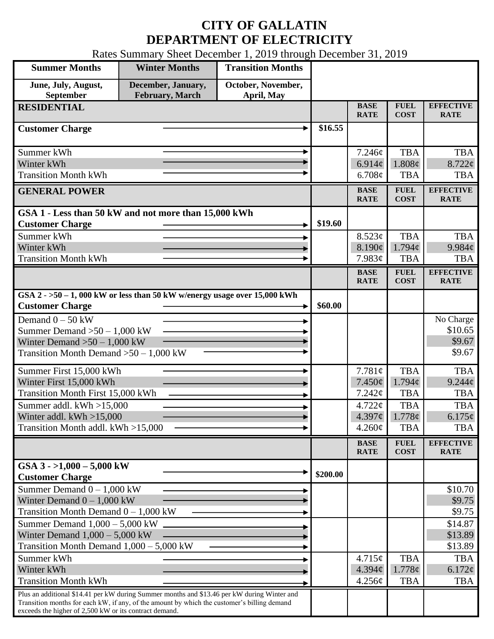## **CITY OF GALLATIN DEPARTMENT OF ELECTRICITY**

Rates Summary Sheet December 1, 2019 through December 31, 2019

| <b>Summer Months</b>                                                                                                                                                                                                                                 | <b>Winter Months</b>                  | <b>Transition Months</b>         |          |                            |                            |                                 |
|------------------------------------------------------------------------------------------------------------------------------------------------------------------------------------------------------------------------------------------------------|---------------------------------------|----------------------------------|----------|----------------------------|----------------------------|---------------------------------|
| June, July, August,<br>September                                                                                                                                                                                                                     | December, January,<br>February, March | October, November,<br>April, May |          |                            |                            |                                 |
| <b>RESIDENTIAL</b>                                                                                                                                                                                                                                   |                                       |                                  |          | <b>BASE</b><br><b>RATE</b> | <b>FUEL</b><br><b>COST</b> | <b>EFFECTIVE</b><br><b>RATE</b> |
| <b>Customer Charge</b>                                                                                                                                                                                                                               |                                       |                                  | \$16.55  |                            |                            |                                 |
| Summer kWh                                                                                                                                                                                                                                           |                                       |                                  |          | 7.246¢                     | <b>TBA</b>                 | <b>TBA</b>                      |
| Winter kWh                                                                                                                                                                                                                                           |                                       |                                  |          | 6.914c                     | 1.808¢                     | $8.722$ ¢                       |
| <b>Transition Month kWh</b>                                                                                                                                                                                                                          |                                       |                                  |          | 6.708¢                     | <b>TBA</b>                 | <b>TBA</b>                      |
| <b>GENERAL POWER</b>                                                                                                                                                                                                                                 |                                       |                                  |          | <b>BASE</b><br><b>RATE</b> | <b>FUEL</b><br><b>COST</b> | <b>EFFECTIVE</b><br><b>RATE</b> |
| GSA 1 - Less than 50 kW and not more than 15,000 kWh                                                                                                                                                                                                 |                                       |                                  |          |                            |                            |                                 |
| <b>Customer Charge</b>                                                                                                                                                                                                                               |                                       |                                  | \$19.60  |                            |                            |                                 |
| Summer kWh                                                                                                                                                                                                                                           |                                       |                                  |          | 8.523¢                     | <b>TBA</b><br>1.794c       | <b>TBA</b>                      |
| Winter kWh<br><b>Transition Month kWh</b>                                                                                                                                                                                                            |                                       |                                  |          | 8.190¢<br>7.983¢           | <b>TBA</b>                 | 9.984c<br><b>TBA</b>            |
|                                                                                                                                                                                                                                                      |                                       |                                  |          | <b>BASE</b>                | <b>FUEL</b>                | <b>EFFECTIVE</b>                |
|                                                                                                                                                                                                                                                      |                                       |                                  |          | <b>RATE</b>                | <b>COST</b>                | <b>RATE</b>                     |
| GSA $2 - 50 - 1$ , 000 kW or less than 50 kW w/energy usage over 15,000 kWh<br><b>Customer Charge</b>                                                                                                                                                |                                       |                                  | \$60.00  |                            |                            |                                 |
| Demand $0 - 50$ kW                                                                                                                                                                                                                                   |                                       |                                  |          |                            |                            | No Charge                       |
| Summer Demand $>50 - 1,000$ kW                                                                                                                                                                                                                       |                                       |                                  |          |                            |                            | \$10.65                         |
| Winter Demand $>50-1,000$ kW                                                                                                                                                                                                                         |                                       |                                  |          |                            |                            | \$9.67                          |
| Transition Month Demand $>50-1,000$ kW                                                                                                                                                                                                               |                                       |                                  |          |                            |                            | \$9.67                          |
| Summer First 15,000 kWh                                                                                                                                                                                                                              |                                       |                                  |          | 7.781¢                     | <b>TBA</b>                 | <b>TBA</b>                      |
| Winter First 15,000 kWh                                                                                                                                                                                                                              |                                       |                                  |          | 7.450¢                     | $1.794\mathcal{C}$         | $9.244\ell$                     |
| <b>Transition Month First 15,000 kWh</b>                                                                                                                                                                                                             |                                       |                                  |          | 7.242¢                     | <b>TBA</b>                 | <b>TBA</b>                      |
| Summer addl. kWh >15,000<br>Winter addl. $kWh > 15,000$                                                                                                                                                                                              |                                       |                                  |          | $4.722\phi$<br>4.397c      | <b>TBA</b><br>1.778¢       | <b>TBA</b><br>6.175¢            |
| Transition Month addl. kWh >15,000                                                                                                                                                                                                                   |                                       |                                  |          | $4.260\phi$                | <b>TBA</b>                 | <b>TBA</b>                      |
|                                                                                                                                                                                                                                                      |                                       |                                  |          |                            | <b>FUEL</b>                | <b>EFFECTIVE</b>                |
|                                                                                                                                                                                                                                                      |                                       |                                  |          | <b>BASE</b><br><b>RATE</b> | <b>COST</b>                | <b>RATE</b>                     |
| GSA $3 - 1,000 - 5,000$ kW<br><b>Customer Charge</b>                                                                                                                                                                                                 |                                       |                                  | \$200.00 |                            |                            |                                 |
| Summer Demand $0 - 1,000$ kW                                                                                                                                                                                                                         |                                       |                                  |          |                            |                            | \$10.70                         |
| Winter Demand $0 - 1,000$ kW                                                                                                                                                                                                                         |                                       |                                  |          |                            |                            | \$9.75                          |
| Transition Month Demand $0 - 1,000$ kW                                                                                                                                                                                                               |                                       |                                  |          |                            |                            | \$9.75                          |
| Summer Demand $1,000 - 5,000$ kW<br>Winter Demand $1,000 - 5,000$ kW                                                                                                                                                                                 |                                       |                                  |          |                            |                            | \$14.87<br>\$13.89              |
| Transition Month Demand $1,000 - 5,000$ kW                                                                                                                                                                                                           |                                       |                                  |          |                            |                            | \$13.89                         |
| Summer kWh                                                                                                                                                                                                                                           |                                       |                                  |          | 4.715¢                     | <b>TBA</b>                 | <b>TBA</b>                      |
| Winter kWh                                                                                                                                                                                                                                           |                                       |                                  |          | 4.394¢                     | 1.778¢                     | $6.172\phi$                     |
| <b>Transition Month kWh</b>                                                                                                                                                                                                                          |                                       |                                  |          | 4.256¢                     | <b>TBA</b>                 | <b>TBA</b>                      |
| Plus an additional \$14.41 per kW during Summer months and \$13.46 per kW during Winter and<br>Transition months for each kW, if any, of the amount by which the customer's billing demand<br>exceeds the higher of 2,500 kW or its contract demand. |                                       |                                  |          |                            |                            |                                 |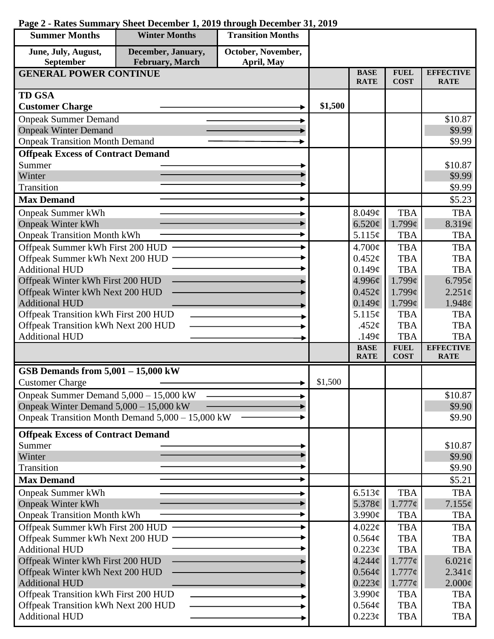| October, November,<br>June, July, August,<br>December, January,<br>February, March<br>September<br>April, May<br><b>BASE</b><br><b>FUEL</b><br><b>EFFECTIVE</b><br><b>GENERAL POWER CONTINUE</b><br><b>COST</b><br><b>RATE</b><br><b>RATE</b><br><b>TD GSA</b><br>\$1,500<br><b>Customer Charge</b><br><b>Onpeak Summer Demand</b><br>\$10.87<br><b>Onpeak Winter Demand</b><br>\$9.99<br><b>Onpeak Transition Month Demand</b><br>\$9.99<br><b>Offpeak Excess of Contract Demand</b><br>Summer<br>\$10.87<br>Winter<br>\$9.99<br>Transition<br>\$9.99<br><b>Max Demand</b><br>\$5.23<br><b>Onpeak Summer kWh</b><br>8.049¢<br><b>TBA</b><br><b>TBA</b><br>$1.799\epsilon$<br><b>Onpeak Winter kWh</b><br>6.520¢<br>8.319¢<br><b>Onpeak Transition Month kWh</b><br>5.115¢<br><b>TBA</b><br><b>TBA</b><br>Offpeak Summer kWh First 200 HUD<br><b>TBA</b><br>$4.700\text{¢}$<br><b>TBA</b><br><b>TBA</b><br>Offpeak Summer kWh Next 200 HUD<br>$0.452\mathcal{C}$<br><b>TBA</b><br><b>Additional HUD</b><br>0.149¢<br><b>TBA</b><br><b>TBA</b><br>$1.799\mathcal{C}$<br>Offpeak Winter kWh First 200 HUD<br>4.996¢<br>$6.795\ell$<br>Offpeak Winter kWh Next 200 HUD<br>0.452¢<br>$1.799\mathcal{C}$<br>$2.251\ell$<br><b>Additional HUD</b><br>0.149¢<br>$1.799\epsilon$<br>$1.948\ell$<br>Offpeak Transition kWh First 200 HUD<br>5.115¢<br><b>TBA</b><br><b>TBA</b><br>Offpeak Transition kWh Next 200 HUD<br><b>TBA</b><br><b>TBA</b><br>.452 $\phi$<br><b>Additional HUD</b><br><b>TBA</b><br><b>TBA</b><br>.149 $\phi$<br><b>EFFECTIVE</b><br><b>BASE</b><br><b>FUEL</b><br><b>RATE</b><br><b>COST</b><br><b>RATE</b><br>GSB Demands from $5,001 - 15,000$ kW<br>\$1,500<br><b>Customer Charge</b><br>Onpeak Summer Demand 5,000 - 15,000 kW<br>\$10.87<br>Onpeak Winter Demand $5,000 - 15,000$ kW<br>\$9.90<br>Onpeak Transition Month Demand 5,000 – 15,000 kW<br>\$9.90<br><b>Offpeak Excess of Contract Demand</b><br>Summer<br>\$10.87<br>Winter<br>\$9.90<br>Transition<br>\$9.90<br><b>Max Demand</b><br>\$5.21<br><b>TBA</b><br><b>TBA</b><br><b>Onpeak Summer kWh</b><br>6.513¢<br>5.378 $\phi$<br>$1.777\phi$<br><b>Onpeak Winter kWh</b><br>$7.155\phi$<br><b>Onpeak Transition Month kWh</b><br>3.990¢<br><b>TBA</b><br><b>TBA</b><br>Offpeak Summer kWh First 200 HUD<br><b>TBA</b><br>$4.022\phi$<br><b>TBA</b><br><b>TBA</b><br>Offpeak Summer kWh Next 200 HUD<br>0.564¢<br><b>TBA</b><br>$0.223\phi$<br><b>Additional HUD</b><br><b>TBA</b><br><b>TBA</b><br>Offpeak Winter kWh First 200 HUD<br>$1.777\phi$<br>$4.244\phi$<br>$6.021\phi$<br>Offpeak Winter kWh Next 200 HUD<br>0.564¢<br>$1.777\phi$<br>$2.341\phi$<br>$0.223\phi$<br><b>Additional HUD</b><br>$1.777\phi$<br>$2.000\phi$<br>Offpeak Transition kWh First 200 HUD<br>$3.990\text{¢}$<br><b>TBA</b><br><b>TBA</b><br>Offpeak Transition kWh Next 200 HUD<br>$0.564\phi$<br><b>TBA</b><br><b>TBA</b> | <b>Summer Months</b>  | <b>Winter Months</b> | <b>Transition Months</b> |             |            |            |
|---------------------------------------------------------------------------------------------------------------------------------------------------------------------------------------------------------------------------------------------------------------------------------------------------------------------------------------------------------------------------------------------------------------------------------------------------------------------------------------------------------------------------------------------------------------------------------------------------------------------------------------------------------------------------------------------------------------------------------------------------------------------------------------------------------------------------------------------------------------------------------------------------------------------------------------------------------------------------------------------------------------------------------------------------------------------------------------------------------------------------------------------------------------------------------------------------------------------------------------------------------------------------------------------------------------------------------------------------------------------------------------------------------------------------------------------------------------------------------------------------------------------------------------------------------------------------------------------------------------------------------------------------------------------------------------------------------------------------------------------------------------------------------------------------------------------------------------------------------------------------------------------------------------------------------------------------------------------------------------------------------------------------------------------------------------------------------------------------------------------------------------------------------------------------------------------------------------------------------------------------------------------------------------------------------------------------------------------------------------------------------------------------------------------------------------------------------------------------------------------------------------------------------------------------------------------------------------------------------------------------------------------------------------------------------------------------------------------------------------------------------------------------------------------------------------------------------------------------------------------------------------------|-----------------------|----------------------|--------------------------|-------------|------------|------------|
|                                                                                                                                                                                                                                                                                                                                                                                                                                                                                                                                                                                                                                                                                                                                                                                                                                                                                                                                                                                                                                                                                                                                                                                                                                                                                                                                                                                                                                                                                                                                                                                                                                                                                                                                                                                                                                                                                                                                                                                                                                                                                                                                                                                                                                                                                                                                                                                                                                                                                                                                                                                                                                                                                                                                                                                                                                                                                             |                       |                      |                          |             |            |            |
|                                                                                                                                                                                                                                                                                                                                                                                                                                                                                                                                                                                                                                                                                                                                                                                                                                                                                                                                                                                                                                                                                                                                                                                                                                                                                                                                                                                                                                                                                                                                                                                                                                                                                                                                                                                                                                                                                                                                                                                                                                                                                                                                                                                                                                                                                                                                                                                                                                                                                                                                                                                                                                                                                                                                                                                                                                                                                             |                       |                      |                          |             |            |            |
|                                                                                                                                                                                                                                                                                                                                                                                                                                                                                                                                                                                                                                                                                                                                                                                                                                                                                                                                                                                                                                                                                                                                                                                                                                                                                                                                                                                                                                                                                                                                                                                                                                                                                                                                                                                                                                                                                                                                                                                                                                                                                                                                                                                                                                                                                                                                                                                                                                                                                                                                                                                                                                                                                                                                                                                                                                                                                             |                       |                      |                          |             |            |            |
|                                                                                                                                                                                                                                                                                                                                                                                                                                                                                                                                                                                                                                                                                                                                                                                                                                                                                                                                                                                                                                                                                                                                                                                                                                                                                                                                                                                                                                                                                                                                                                                                                                                                                                                                                                                                                                                                                                                                                                                                                                                                                                                                                                                                                                                                                                                                                                                                                                                                                                                                                                                                                                                                                                                                                                                                                                                                                             |                       |                      |                          |             |            |            |
|                                                                                                                                                                                                                                                                                                                                                                                                                                                                                                                                                                                                                                                                                                                                                                                                                                                                                                                                                                                                                                                                                                                                                                                                                                                                                                                                                                                                                                                                                                                                                                                                                                                                                                                                                                                                                                                                                                                                                                                                                                                                                                                                                                                                                                                                                                                                                                                                                                                                                                                                                                                                                                                                                                                                                                                                                                                                                             |                       |                      |                          |             |            |            |
|                                                                                                                                                                                                                                                                                                                                                                                                                                                                                                                                                                                                                                                                                                                                                                                                                                                                                                                                                                                                                                                                                                                                                                                                                                                                                                                                                                                                                                                                                                                                                                                                                                                                                                                                                                                                                                                                                                                                                                                                                                                                                                                                                                                                                                                                                                                                                                                                                                                                                                                                                                                                                                                                                                                                                                                                                                                                                             |                       |                      |                          |             |            |            |
|                                                                                                                                                                                                                                                                                                                                                                                                                                                                                                                                                                                                                                                                                                                                                                                                                                                                                                                                                                                                                                                                                                                                                                                                                                                                                                                                                                                                                                                                                                                                                                                                                                                                                                                                                                                                                                                                                                                                                                                                                                                                                                                                                                                                                                                                                                                                                                                                                                                                                                                                                                                                                                                                                                                                                                                                                                                                                             |                       |                      |                          |             |            |            |
|                                                                                                                                                                                                                                                                                                                                                                                                                                                                                                                                                                                                                                                                                                                                                                                                                                                                                                                                                                                                                                                                                                                                                                                                                                                                                                                                                                                                                                                                                                                                                                                                                                                                                                                                                                                                                                                                                                                                                                                                                                                                                                                                                                                                                                                                                                                                                                                                                                                                                                                                                                                                                                                                                                                                                                                                                                                                                             |                       |                      |                          |             |            |            |
|                                                                                                                                                                                                                                                                                                                                                                                                                                                                                                                                                                                                                                                                                                                                                                                                                                                                                                                                                                                                                                                                                                                                                                                                                                                                                                                                                                                                                                                                                                                                                                                                                                                                                                                                                                                                                                                                                                                                                                                                                                                                                                                                                                                                                                                                                                                                                                                                                                                                                                                                                                                                                                                                                                                                                                                                                                                                                             |                       |                      |                          |             |            |            |
|                                                                                                                                                                                                                                                                                                                                                                                                                                                                                                                                                                                                                                                                                                                                                                                                                                                                                                                                                                                                                                                                                                                                                                                                                                                                                                                                                                                                                                                                                                                                                                                                                                                                                                                                                                                                                                                                                                                                                                                                                                                                                                                                                                                                                                                                                                                                                                                                                                                                                                                                                                                                                                                                                                                                                                                                                                                                                             |                       |                      |                          |             |            |            |
|                                                                                                                                                                                                                                                                                                                                                                                                                                                                                                                                                                                                                                                                                                                                                                                                                                                                                                                                                                                                                                                                                                                                                                                                                                                                                                                                                                                                                                                                                                                                                                                                                                                                                                                                                                                                                                                                                                                                                                                                                                                                                                                                                                                                                                                                                                                                                                                                                                                                                                                                                                                                                                                                                                                                                                                                                                                                                             |                       |                      |                          |             |            |            |
|                                                                                                                                                                                                                                                                                                                                                                                                                                                                                                                                                                                                                                                                                                                                                                                                                                                                                                                                                                                                                                                                                                                                                                                                                                                                                                                                                                                                                                                                                                                                                                                                                                                                                                                                                                                                                                                                                                                                                                                                                                                                                                                                                                                                                                                                                                                                                                                                                                                                                                                                                                                                                                                                                                                                                                                                                                                                                             |                       |                      |                          |             |            |            |
|                                                                                                                                                                                                                                                                                                                                                                                                                                                                                                                                                                                                                                                                                                                                                                                                                                                                                                                                                                                                                                                                                                                                                                                                                                                                                                                                                                                                                                                                                                                                                                                                                                                                                                                                                                                                                                                                                                                                                                                                                                                                                                                                                                                                                                                                                                                                                                                                                                                                                                                                                                                                                                                                                                                                                                                                                                                                                             |                       |                      |                          |             |            |            |
|                                                                                                                                                                                                                                                                                                                                                                                                                                                                                                                                                                                                                                                                                                                                                                                                                                                                                                                                                                                                                                                                                                                                                                                                                                                                                                                                                                                                                                                                                                                                                                                                                                                                                                                                                                                                                                                                                                                                                                                                                                                                                                                                                                                                                                                                                                                                                                                                                                                                                                                                                                                                                                                                                                                                                                                                                                                                                             |                       |                      |                          |             |            |            |
|                                                                                                                                                                                                                                                                                                                                                                                                                                                                                                                                                                                                                                                                                                                                                                                                                                                                                                                                                                                                                                                                                                                                                                                                                                                                                                                                                                                                                                                                                                                                                                                                                                                                                                                                                                                                                                                                                                                                                                                                                                                                                                                                                                                                                                                                                                                                                                                                                                                                                                                                                                                                                                                                                                                                                                                                                                                                                             |                       |                      |                          |             |            |            |
|                                                                                                                                                                                                                                                                                                                                                                                                                                                                                                                                                                                                                                                                                                                                                                                                                                                                                                                                                                                                                                                                                                                                                                                                                                                                                                                                                                                                                                                                                                                                                                                                                                                                                                                                                                                                                                                                                                                                                                                                                                                                                                                                                                                                                                                                                                                                                                                                                                                                                                                                                                                                                                                                                                                                                                                                                                                                                             |                       |                      |                          |             |            |            |
|                                                                                                                                                                                                                                                                                                                                                                                                                                                                                                                                                                                                                                                                                                                                                                                                                                                                                                                                                                                                                                                                                                                                                                                                                                                                                                                                                                                                                                                                                                                                                                                                                                                                                                                                                                                                                                                                                                                                                                                                                                                                                                                                                                                                                                                                                                                                                                                                                                                                                                                                                                                                                                                                                                                                                                                                                                                                                             |                       |                      |                          |             |            |            |
|                                                                                                                                                                                                                                                                                                                                                                                                                                                                                                                                                                                                                                                                                                                                                                                                                                                                                                                                                                                                                                                                                                                                                                                                                                                                                                                                                                                                                                                                                                                                                                                                                                                                                                                                                                                                                                                                                                                                                                                                                                                                                                                                                                                                                                                                                                                                                                                                                                                                                                                                                                                                                                                                                                                                                                                                                                                                                             |                       |                      |                          |             |            |            |
|                                                                                                                                                                                                                                                                                                                                                                                                                                                                                                                                                                                                                                                                                                                                                                                                                                                                                                                                                                                                                                                                                                                                                                                                                                                                                                                                                                                                                                                                                                                                                                                                                                                                                                                                                                                                                                                                                                                                                                                                                                                                                                                                                                                                                                                                                                                                                                                                                                                                                                                                                                                                                                                                                                                                                                                                                                                                                             |                       |                      |                          |             |            |            |
|                                                                                                                                                                                                                                                                                                                                                                                                                                                                                                                                                                                                                                                                                                                                                                                                                                                                                                                                                                                                                                                                                                                                                                                                                                                                                                                                                                                                                                                                                                                                                                                                                                                                                                                                                                                                                                                                                                                                                                                                                                                                                                                                                                                                                                                                                                                                                                                                                                                                                                                                                                                                                                                                                                                                                                                                                                                                                             |                       |                      |                          |             |            |            |
|                                                                                                                                                                                                                                                                                                                                                                                                                                                                                                                                                                                                                                                                                                                                                                                                                                                                                                                                                                                                                                                                                                                                                                                                                                                                                                                                                                                                                                                                                                                                                                                                                                                                                                                                                                                                                                                                                                                                                                                                                                                                                                                                                                                                                                                                                                                                                                                                                                                                                                                                                                                                                                                                                                                                                                                                                                                                                             |                       |                      |                          |             |            |            |
|                                                                                                                                                                                                                                                                                                                                                                                                                                                                                                                                                                                                                                                                                                                                                                                                                                                                                                                                                                                                                                                                                                                                                                                                                                                                                                                                                                                                                                                                                                                                                                                                                                                                                                                                                                                                                                                                                                                                                                                                                                                                                                                                                                                                                                                                                                                                                                                                                                                                                                                                                                                                                                                                                                                                                                                                                                                                                             |                       |                      |                          |             |            |            |
|                                                                                                                                                                                                                                                                                                                                                                                                                                                                                                                                                                                                                                                                                                                                                                                                                                                                                                                                                                                                                                                                                                                                                                                                                                                                                                                                                                                                                                                                                                                                                                                                                                                                                                                                                                                                                                                                                                                                                                                                                                                                                                                                                                                                                                                                                                                                                                                                                                                                                                                                                                                                                                                                                                                                                                                                                                                                                             |                       |                      |                          |             |            |            |
|                                                                                                                                                                                                                                                                                                                                                                                                                                                                                                                                                                                                                                                                                                                                                                                                                                                                                                                                                                                                                                                                                                                                                                                                                                                                                                                                                                                                                                                                                                                                                                                                                                                                                                                                                                                                                                                                                                                                                                                                                                                                                                                                                                                                                                                                                                                                                                                                                                                                                                                                                                                                                                                                                                                                                                                                                                                                                             |                       |                      |                          |             |            |            |
|                                                                                                                                                                                                                                                                                                                                                                                                                                                                                                                                                                                                                                                                                                                                                                                                                                                                                                                                                                                                                                                                                                                                                                                                                                                                                                                                                                                                                                                                                                                                                                                                                                                                                                                                                                                                                                                                                                                                                                                                                                                                                                                                                                                                                                                                                                                                                                                                                                                                                                                                                                                                                                                                                                                                                                                                                                                                                             |                       |                      |                          |             |            |            |
|                                                                                                                                                                                                                                                                                                                                                                                                                                                                                                                                                                                                                                                                                                                                                                                                                                                                                                                                                                                                                                                                                                                                                                                                                                                                                                                                                                                                                                                                                                                                                                                                                                                                                                                                                                                                                                                                                                                                                                                                                                                                                                                                                                                                                                                                                                                                                                                                                                                                                                                                                                                                                                                                                                                                                                                                                                                                                             |                       |                      |                          |             |            |            |
|                                                                                                                                                                                                                                                                                                                                                                                                                                                                                                                                                                                                                                                                                                                                                                                                                                                                                                                                                                                                                                                                                                                                                                                                                                                                                                                                                                                                                                                                                                                                                                                                                                                                                                                                                                                                                                                                                                                                                                                                                                                                                                                                                                                                                                                                                                                                                                                                                                                                                                                                                                                                                                                                                                                                                                                                                                                                                             |                       |                      |                          |             |            |            |
|                                                                                                                                                                                                                                                                                                                                                                                                                                                                                                                                                                                                                                                                                                                                                                                                                                                                                                                                                                                                                                                                                                                                                                                                                                                                                                                                                                                                                                                                                                                                                                                                                                                                                                                                                                                                                                                                                                                                                                                                                                                                                                                                                                                                                                                                                                                                                                                                                                                                                                                                                                                                                                                                                                                                                                                                                                                                                             |                       |                      |                          |             |            |            |
|                                                                                                                                                                                                                                                                                                                                                                                                                                                                                                                                                                                                                                                                                                                                                                                                                                                                                                                                                                                                                                                                                                                                                                                                                                                                                                                                                                                                                                                                                                                                                                                                                                                                                                                                                                                                                                                                                                                                                                                                                                                                                                                                                                                                                                                                                                                                                                                                                                                                                                                                                                                                                                                                                                                                                                                                                                                                                             |                       |                      |                          |             |            |            |
|                                                                                                                                                                                                                                                                                                                                                                                                                                                                                                                                                                                                                                                                                                                                                                                                                                                                                                                                                                                                                                                                                                                                                                                                                                                                                                                                                                                                                                                                                                                                                                                                                                                                                                                                                                                                                                                                                                                                                                                                                                                                                                                                                                                                                                                                                                                                                                                                                                                                                                                                                                                                                                                                                                                                                                                                                                                                                             |                       |                      |                          |             |            |            |
|                                                                                                                                                                                                                                                                                                                                                                                                                                                                                                                                                                                                                                                                                                                                                                                                                                                                                                                                                                                                                                                                                                                                                                                                                                                                                                                                                                                                                                                                                                                                                                                                                                                                                                                                                                                                                                                                                                                                                                                                                                                                                                                                                                                                                                                                                                                                                                                                                                                                                                                                                                                                                                                                                                                                                                                                                                                                                             |                       |                      |                          |             |            |            |
|                                                                                                                                                                                                                                                                                                                                                                                                                                                                                                                                                                                                                                                                                                                                                                                                                                                                                                                                                                                                                                                                                                                                                                                                                                                                                                                                                                                                                                                                                                                                                                                                                                                                                                                                                                                                                                                                                                                                                                                                                                                                                                                                                                                                                                                                                                                                                                                                                                                                                                                                                                                                                                                                                                                                                                                                                                                                                             |                       |                      |                          |             |            |            |
|                                                                                                                                                                                                                                                                                                                                                                                                                                                                                                                                                                                                                                                                                                                                                                                                                                                                                                                                                                                                                                                                                                                                                                                                                                                                                                                                                                                                                                                                                                                                                                                                                                                                                                                                                                                                                                                                                                                                                                                                                                                                                                                                                                                                                                                                                                                                                                                                                                                                                                                                                                                                                                                                                                                                                                                                                                                                                             |                       |                      |                          |             |            |            |
|                                                                                                                                                                                                                                                                                                                                                                                                                                                                                                                                                                                                                                                                                                                                                                                                                                                                                                                                                                                                                                                                                                                                                                                                                                                                                                                                                                                                                                                                                                                                                                                                                                                                                                                                                                                                                                                                                                                                                                                                                                                                                                                                                                                                                                                                                                                                                                                                                                                                                                                                                                                                                                                                                                                                                                                                                                                                                             |                       |                      |                          |             |            |            |
|                                                                                                                                                                                                                                                                                                                                                                                                                                                                                                                                                                                                                                                                                                                                                                                                                                                                                                                                                                                                                                                                                                                                                                                                                                                                                                                                                                                                                                                                                                                                                                                                                                                                                                                                                                                                                                                                                                                                                                                                                                                                                                                                                                                                                                                                                                                                                                                                                                                                                                                                                                                                                                                                                                                                                                                                                                                                                             |                       |                      |                          |             |            |            |
|                                                                                                                                                                                                                                                                                                                                                                                                                                                                                                                                                                                                                                                                                                                                                                                                                                                                                                                                                                                                                                                                                                                                                                                                                                                                                                                                                                                                                                                                                                                                                                                                                                                                                                                                                                                                                                                                                                                                                                                                                                                                                                                                                                                                                                                                                                                                                                                                                                                                                                                                                                                                                                                                                                                                                                                                                                                                                             |                       |                      |                          |             |            |            |
|                                                                                                                                                                                                                                                                                                                                                                                                                                                                                                                                                                                                                                                                                                                                                                                                                                                                                                                                                                                                                                                                                                                                                                                                                                                                                                                                                                                                                                                                                                                                                                                                                                                                                                                                                                                                                                                                                                                                                                                                                                                                                                                                                                                                                                                                                                                                                                                                                                                                                                                                                                                                                                                                                                                                                                                                                                                                                             |                       |                      |                          |             |            |            |
|                                                                                                                                                                                                                                                                                                                                                                                                                                                                                                                                                                                                                                                                                                                                                                                                                                                                                                                                                                                                                                                                                                                                                                                                                                                                                                                                                                                                                                                                                                                                                                                                                                                                                                                                                                                                                                                                                                                                                                                                                                                                                                                                                                                                                                                                                                                                                                                                                                                                                                                                                                                                                                                                                                                                                                                                                                                                                             |                       |                      |                          |             |            |            |
|                                                                                                                                                                                                                                                                                                                                                                                                                                                                                                                                                                                                                                                                                                                                                                                                                                                                                                                                                                                                                                                                                                                                                                                                                                                                                                                                                                                                                                                                                                                                                                                                                                                                                                                                                                                                                                                                                                                                                                                                                                                                                                                                                                                                                                                                                                                                                                                                                                                                                                                                                                                                                                                                                                                                                                                                                                                                                             |                       |                      |                          |             |            |            |
|                                                                                                                                                                                                                                                                                                                                                                                                                                                                                                                                                                                                                                                                                                                                                                                                                                                                                                                                                                                                                                                                                                                                                                                                                                                                                                                                                                                                                                                                                                                                                                                                                                                                                                                                                                                                                                                                                                                                                                                                                                                                                                                                                                                                                                                                                                                                                                                                                                                                                                                                                                                                                                                                                                                                                                                                                                                                                             |                       |                      |                          |             |            |            |
|                                                                                                                                                                                                                                                                                                                                                                                                                                                                                                                                                                                                                                                                                                                                                                                                                                                                                                                                                                                                                                                                                                                                                                                                                                                                                                                                                                                                                                                                                                                                                                                                                                                                                                                                                                                                                                                                                                                                                                                                                                                                                                                                                                                                                                                                                                                                                                                                                                                                                                                                                                                                                                                                                                                                                                                                                                                                                             |                       |                      |                          |             |            |            |
|                                                                                                                                                                                                                                                                                                                                                                                                                                                                                                                                                                                                                                                                                                                                                                                                                                                                                                                                                                                                                                                                                                                                                                                                                                                                                                                                                                                                                                                                                                                                                                                                                                                                                                                                                                                                                                                                                                                                                                                                                                                                                                                                                                                                                                                                                                                                                                                                                                                                                                                                                                                                                                                                                                                                                                                                                                                                                             |                       |                      |                          |             |            |            |
|                                                                                                                                                                                                                                                                                                                                                                                                                                                                                                                                                                                                                                                                                                                                                                                                                                                                                                                                                                                                                                                                                                                                                                                                                                                                                                                                                                                                                                                                                                                                                                                                                                                                                                                                                                                                                                                                                                                                                                                                                                                                                                                                                                                                                                                                                                                                                                                                                                                                                                                                                                                                                                                                                                                                                                                                                                                                                             |                       |                      |                          |             |            |            |
|                                                                                                                                                                                                                                                                                                                                                                                                                                                                                                                                                                                                                                                                                                                                                                                                                                                                                                                                                                                                                                                                                                                                                                                                                                                                                                                                                                                                                                                                                                                                                                                                                                                                                                                                                                                                                                                                                                                                                                                                                                                                                                                                                                                                                                                                                                                                                                                                                                                                                                                                                                                                                                                                                                                                                                                                                                                                                             |                       |                      |                          |             |            |            |
|                                                                                                                                                                                                                                                                                                                                                                                                                                                                                                                                                                                                                                                                                                                                                                                                                                                                                                                                                                                                                                                                                                                                                                                                                                                                                                                                                                                                                                                                                                                                                                                                                                                                                                                                                                                                                                                                                                                                                                                                                                                                                                                                                                                                                                                                                                                                                                                                                                                                                                                                                                                                                                                                                                                                                                                                                                                                                             |                       |                      |                          |             |            |            |
|                                                                                                                                                                                                                                                                                                                                                                                                                                                                                                                                                                                                                                                                                                                                                                                                                                                                                                                                                                                                                                                                                                                                                                                                                                                                                                                                                                                                                                                                                                                                                                                                                                                                                                                                                                                                                                                                                                                                                                                                                                                                                                                                                                                                                                                                                                                                                                                                                                                                                                                                                                                                                                                                                                                                                                                                                                                                                             |                       |                      |                          |             |            |            |
|                                                                                                                                                                                                                                                                                                                                                                                                                                                                                                                                                                                                                                                                                                                                                                                                                                                                                                                                                                                                                                                                                                                                                                                                                                                                                                                                                                                                                                                                                                                                                                                                                                                                                                                                                                                                                                                                                                                                                                                                                                                                                                                                                                                                                                                                                                                                                                                                                                                                                                                                                                                                                                                                                                                                                                                                                                                                                             | <b>Additional HUD</b> |                      |                          | $0.223\phi$ | <b>TBA</b> | <b>TBA</b> |

## **Page 2 - Rates Summary Sheet December 1, 2019 through December 31, 2019**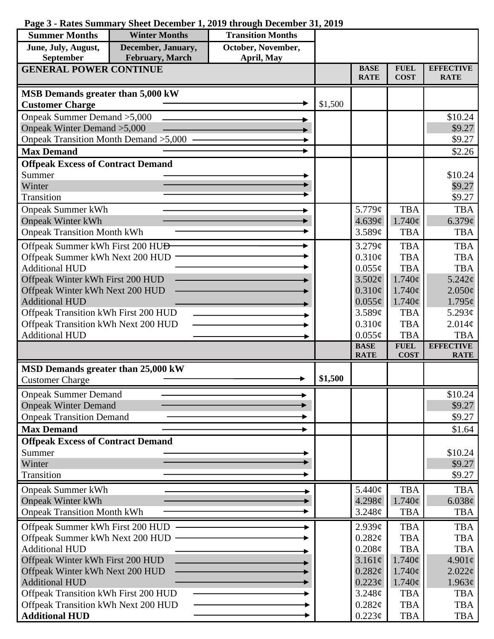## **Page 3 - Rates Summary Sheet December 1, 2019 through December 31, 2019**

| <b>Summer Months</b>                                     | <b>Winter Months</b> | <b>Transition Months</b> |         |                            |                            |                                 |
|----------------------------------------------------------|----------------------|--------------------------|---------|----------------------------|----------------------------|---------------------------------|
| June, July, August,                                      | December, January,   | October, November,       |         |                            |                            |                                 |
| September                                                | February, March      | April, May               |         |                            |                            |                                 |
| <b>GENERAL POWER CONTINUE</b>                            |                      |                          |         | <b>BASE</b><br><b>RATE</b> | <b>FUEL</b><br><b>COST</b> | <b>EFFECTIVE</b><br><b>RATE</b> |
| MSB Demands greater than 5,000 kW                        |                      |                          |         |                            |                            |                                 |
| <b>Customer Charge</b>                                   |                      |                          | \$1,500 |                            |                            |                                 |
| Onpeak Summer Demand > 5,000                             |                      |                          |         |                            |                            | \$10.24                         |
| Onpeak Winter Demand > 5,000                             |                      |                          |         |                            |                            | \$9.27                          |
| Onpeak Transition Month Demand > 5,000                   |                      |                          |         |                            |                            | \$9.27                          |
| <b>Max Demand</b>                                        |                      |                          |         |                            |                            | \$2.26                          |
| <b>Offpeak Excess of Contract Demand</b>                 |                      |                          |         |                            |                            |                                 |
| Summer<br>Winter                                         |                      |                          |         |                            |                            | \$10.24<br>\$9.27               |
| Transition                                               |                      |                          |         |                            |                            | \$9.27                          |
| <b>Onpeak Summer kWh</b>                                 |                      |                          |         | 5.779¢                     | <b>TBA</b>                 | <b>TBA</b>                      |
| <b>Onpeak Winter kWh</b>                                 |                      |                          |         | 4.639¢                     | $1.740\text{¢}$            | 6.379¢                          |
| <b>Onpeak Transition Month kWh</b>                       |                      |                          |         | 3.589¢                     | <b>TBA</b>                 | <b>TBA</b>                      |
| Offpeak Summer kWh First 200 HU <del>D</del>             |                      |                          |         | 3.279¢                     | <b>TBA</b>                 | <b>TBA</b>                      |
| Offpeak Summer kWh Next 200 HUD                          |                      |                          |         | 0.310¢                     | <b>TBA</b>                 | <b>TBA</b>                      |
| <b>Additional HUD</b>                                    |                      |                          |         | $0.055\phi$                | <b>TBA</b>                 | <b>TBA</b>                      |
| Offpeak Winter kWh First 200 HUD                         |                      |                          |         | 3.502¢                     | $1.740\phi$                | 5.242¢                          |
| Offpeak Winter kWh Next 200 HUD                          |                      |                          |         | $0.310\phi$                | $1.740\epsilon$            | $2.050\phi$                     |
| <b>Additional HUD</b>                                    |                      |                          |         | $0.055\phi$                | $1.740\varphi$             | $1.795\epsilon$                 |
| Offpeak Transition kWh First 200 HUD                     |                      |                          |         | 3.589¢                     | <b>TBA</b>                 | 5.293 $\phi$                    |
| Offpeak Transition kWh Next 200 HUD                      |                      |                          |         | $0.310\phi$                | <b>TBA</b>                 | 2.014¢                          |
| <b>Additional HUD</b>                                    |                      |                          |         | $0.055\phi$                | <b>TBA</b>                 | <b>TBA</b>                      |
|                                                          |                      |                          |         | <b>BASE</b><br><b>RATE</b> | <b>FUEL</b><br><b>COST</b> | <b>EFFECTIVE</b><br><b>RATE</b> |
| MSD Demands greater than 25,000 kW                       |                      |                          |         |                            |                            |                                 |
| <b>Customer Charge</b>                                   |                      |                          | \$1,500 |                            |                            |                                 |
| <b>Onpeak Summer Demand</b>                              |                      |                          |         |                            |                            | \$10.24                         |
| <b>Onpeak Winter Demand</b>                              |                      |                          |         |                            |                            | \$9.27                          |
| <b>Onpeak Transition Demand</b>                          |                      |                          |         |                            |                            | \$9.27                          |
| <b>Max Demand</b>                                        |                      |                          |         |                            |                            | \$1.64                          |
| <b>Offpeak Excess of Contract Demand</b>                 |                      |                          |         |                            |                            |                                 |
| Summer                                                   |                      |                          |         |                            |                            | \$10.24                         |
| Winter                                                   |                      |                          |         |                            |                            | \$9.27                          |
| Transition                                               |                      |                          |         |                            |                            | \$9.27                          |
| <b>Onpeak Summer kWh</b>                                 |                      |                          |         | 5.440¢                     | <b>TBA</b>                 | <b>TBA</b>                      |
| <b>Onpeak Winter kWh</b>                                 |                      |                          |         | 4.298¢                     | $1.740\phi$                | 6.038¢                          |
| <b>Onpeak Transition Month kWh</b>                       |                      |                          |         | 3.248¢                     | <b>TBA</b>                 | <b>TBA</b>                      |
| Offpeak Summer kWh First 200 HUD                         |                      |                          |         | 2.939¢                     | <b>TBA</b>                 | <b>TBA</b>                      |
| Offpeak Summer kWh Next 200 HUD                          |                      |                          |         | 0.282¢                     | <b>TBA</b>                 | <b>TBA</b>                      |
| <b>Additional HUD</b>                                    |                      |                          |         | $0.208\phi$                | <b>TBA</b>                 | <b>TBA</b>                      |
| Offpeak Winter kWh First 200 HUD                         |                      |                          |         | 3.161¢                     | $1.740\phi$                | $4.901\phi$                     |
| Offpeak Winter kWh Next 200 HUD<br><b>Additional HUD</b> |                      |                          |         | 0.282¢<br>$0.223\phi$      | $1.740\phi$<br>$1.740\phi$ | $2.022\phi$<br>$1.963\ell$      |
| Offpeak Transition kWh First 200 HUD                     |                      |                          |         | 3.248¢                     | <b>TBA</b>                 | <b>TBA</b>                      |
| Offpeak Transition kWh Next 200 HUD                      |                      |                          |         | $0.282\ell$                | <b>TBA</b>                 | <b>TBA</b>                      |
| <b>Additional HUD</b>                                    |                      |                          |         | $0.223\phi$                | <b>TBA</b>                 | TBA                             |